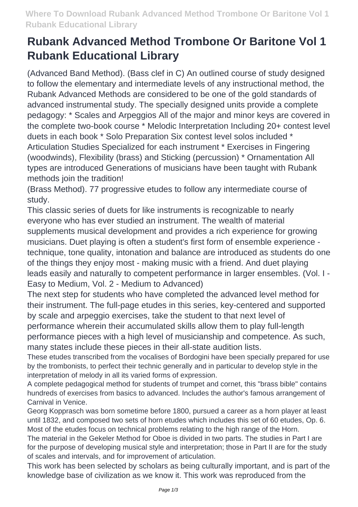## **Rubank Advanced Method Trombone Or Baritone Vol 1 Rubank Educational Library**

(Advanced Band Method). (Bass clef in C) An outlined course of study designed to follow the elementary and intermediate levels of any instructional method, the Rubank Advanced Methods are considered to be one of the gold standards of advanced instrumental study. The specially designed units provide a complete pedagogy: \* Scales and Arpeggios All of the major and minor keys are covered in the complete two-book course \* Melodic Interpretation Including 20+ contest level duets in each book \* Solo Preparation Six contest level solos included \* Articulation Studies Specialized for each instrument \* Exercises in Fingering (woodwinds), Flexibility (brass) and Sticking (percussion) \* Ornamentation All types are introduced Generations of musicians have been taught with Rubank methods join the tradition!

(Brass Method). 77 progressive etudes to follow any intermediate course of study.

This classic series of duets for like instruments is recognizable to nearly everyone who has ever studied an instrument. The wealth of material supplements musical development and provides a rich experience for growing musicians. Duet playing is often a student's first form of ensemble experience technique, tone quality, intonation and balance are introduced as students do one of the things they enjoy most - making music with a friend. And duet playing leads easily and naturally to competent performance in larger ensembles. (Vol. I - Easy to Medium, Vol. 2 - Medium to Advanced)

The next step for students who have completed the advanced level method for their instrument. The full-page etudes in this series, key-centered and supported by scale and arpeggio exercises, take the student to that next level of performance wherein their accumulated skills allow them to play full-length performance pieces with a high level of musicianship and competence. As such, many states include these pieces in their all-state audition lists.

These etudes transcribed from the vocalises of Bordogini have been specially prepared for use by the trombonists, to perfect their technic generally and in particular to develop style in the interpretation of melody in all its varied forms of expression.

A complete pedagogical method for students of trumpet and cornet, this "brass bible" contains hundreds of exercises from basics to advanced. Includes the author's famous arrangement of Carnival in Venice.

Georg Kopprasch was born sometime before 1800, pursued a career as a horn player at least until 1832, and composed two sets of horn etudes which includes this set of 60 etudes, Op. 6. Most of the etudes focus on technical problems relating to the high range of the Horn.

The material in the Gekeler Method for Oboe is divided in two parts. The studies in Part I are for the purpose of developing musical style and interpretation; those in Part II are for the study of scales and intervals, and for improvement of articulation.

This work has been selected by scholars as being culturally important, and is part of the knowledge base of civilization as we know it. This work was reproduced from the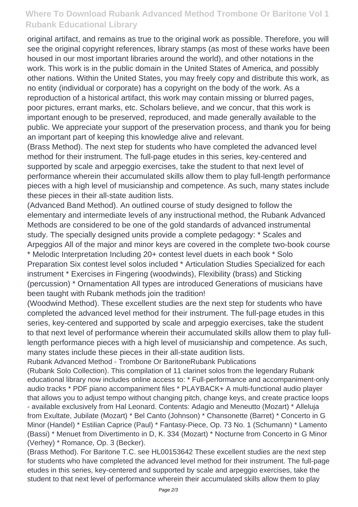## **Where To Download Rubank Advanced Method Trombone Or Baritone Vol 1 Rubank Educational Library**

original artifact, and remains as true to the original work as possible. Therefore, you will see the original copyright references, library stamps (as most of these works have been housed in our most important libraries around the world), and other notations in the work. This work is in the public domain in the United States of America, and possibly other nations. Within the United States, you may freely copy and distribute this work, as no entity (individual or corporate) has a copyright on the body of the work. As a reproduction of a historical artifact, this work may contain missing or blurred pages, poor pictures, errant marks, etc. Scholars believe, and we concur, that this work is important enough to be preserved, reproduced, and made generally available to the public. We appreciate your support of the preservation process, and thank you for being an important part of keeping this knowledge alive and relevant.

(Brass Method). The next step for students who have completed the advanced level method for their instrument. The full-page etudes in this series, key-centered and supported by scale and arpeggio exercises, take the student to that next level of performance wherein their accumulated skills allow them to play full-length performance pieces with a high level of musicianship and competence. As such, many states include these pieces in their all-state audition lists.

(Advanced Band Method). An outlined course of study designed to follow the elementary and intermediate levels of any instructional method, the Rubank Advanced Methods are considered to be one of the gold standards of advanced instrumental study. The specially designed units provide a complete pedagogy: \* Scales and Arpeggios All of the major and minor keys are covered in the complete two-book course \* Melodic Interpretation Including 20+ contest level duets in each book \* Solo Preparation Six contest level solos included \* Articulation Studies Specialized for each instrument \* Exercises in Fingering (woodwinds), Flexibility (brass) and Sticking (percussion) \* Ornamentation All types are introduced Generations of musicians have been taught with Rubank methods join the tradition!

(Woodwind Method). These excellent studies are the next step for students who have completed the advanced level method for their instrument. The full-page etudes in this series, key-centered and supported by scale and arpeggio exercises, take the student to that next level of performance wherein their accumulated skills allow them to play fulllength performance pieces with a high level of musicianship and competence. As such, many states include these pieces in their all-state audition lists.

Rubank Advanced Method - Trombone Or BaritoneRubank Publications

(Rubank Solo Collection). This compilation of 11 clarinet solos from the legendary Rubank educational library now includes online access to: \* Full-performance and accompaniment-only audio tracks \* PDF piano accompaniment files \* PLAYBACK+ A multi-functional audio player that allows you to adjust tempo without changing pitch, change keys, and create practice loops - available exclusively from Hal Leonard. Contents: Adagio and Meneutto (Mozart) \* Alleluja from Exultate, Jubilate (Mozart) \* Bel Canto (Johnson) \* Chansonette (Barret) \* Concerto in G Minor (Handel) \* Estilian Caprice (Paul) \* Fantasy-Piece, Op. 73 No. 1 (Schumann) \* Lamento (Bassi) \* Menuet from Divertimento in D, K. 334 (Mozart) \* Nocturne from Concerto in G Minor (Verhey) \* Romance, Op. 3 (Becker).

(Brass Method). For Baritone T.C. see HL00153642 These excellent studies are the next step for students who have completed the advanced level method for their instrument. The full-page etudes in this series, key-centered and supported by scale and arpeggio exercises, take the student to that next level of performance wherein their accumulated skills allow them to play